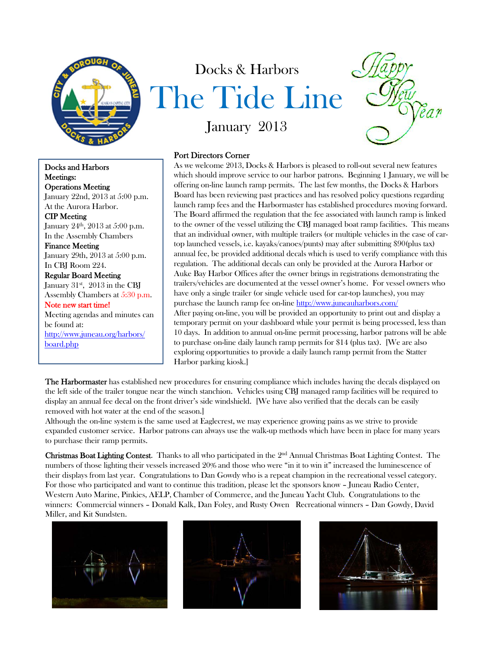

Docks and Harbors Meetings: Operations Meeting January 22nd, 2013 at 5:00 p.m. At the Aurora Harbor. CIP Meeting January 24<sup>th</sup>, 2013 at 5:00 p.m. In the Assembly Chambers Finance Meeting January 29th, 2013 at 5:00 p.m. In CBJ Room 224. Regular Board Meeting January  $31^{st}$ ,  $2013$  in the CBJ Assembly Chambers at 5:30 p.m. Note new start time! Meeting agendas and minutes can be found at:

http://www.juneau.org/harbors/ board.php

## Docks & Harbors The Tide Line



January 2013

## Port Directors Corner

As we welcome 2013, Docks & Harbors is pleased to roll-out several new features which should improve service to our harbor patrons. Beginning 1 January, we will be offering on-line launch ramp permits. The last few months, the Docks & Harbors Board has been reviewing past practices and has resolved policy questions regarding launch ramp fees and the Harbormaster has established procedures moving forward. The Board affirmed the regulation that the fee associated with launch ramp is linked to the owner of the vessel utilizing the CBJ managed boat ramp facilities. This means that an individual owner, with multiple trailers (or multiple vehicles in the case of cartop launched vessels, i.e. kayaks/canoes/punts) may after submitting \$90(plus tax) annual fee, be provided additional decals which is used to verify compliance with this regulation. The additional decals can only be provided at the Aurora Harbor or Auke Bay Harbor Offices after the owner brings in registrations demonstrating the trailers/vehicles are documented at the vessel owner's home. For vessel owners who have only a single trailer (or single vehicle used for car-top launches), you may purchase the launch ramp fee on-line http://www.juneauharbors.com/ After paying on-line, you will be provided an opportunity to print out and display a temporary permit on your dashboard while your permit is being processed, less than 10 days. In addition to annual on-line permit processing, harbor patrons will be able to purchase on-line daily launch ramp permits for \$14 (plus tax). [We are also exploring opportunities to provide a daily launch ramp permit from the Statter Harbor parking kiosk.]

The Harbormaster has established new procedures for ensuring compliance which includes having the decals displayed on the left side of the trailer tongue near the winch stanchion. Vehicles using CBJ managed ramp facilities will be required to display an annual fee decal on the front driver's side windshield. [We have also verified that the decals can be easily removed with hot water at the end of the season.]

Although the on-line system is the same used at Eaglecrest, we may experience growing pains as we strive to provide expanded customer service. Harbor patrons can always use the walk-up methods which have been in place for many years to purchase their ramp permits.

Christmas Boat Lighting Contest. Thanks to all who participated in the 2nd Annual Christmas Boat Lighting Contest. The numbers of those lighting their vessels increased 20% and those who were "in it to win it" increased the luminescence of their displays from last year. Congratulations to Dan Gowdy who is a repeat champion in the recreational vessel category. For those who participated and want to continue this tradition, please let the sponsors know – Juneau Radio Center, Western Auto Marine, Pinkies, AELP, Chamber of Commerce, and the Juneau Yacht Club. Congratulations to the winners: Commercial winners – Donald Kalk, Dan Foley, and Rusty Owen Recreational winners – Dan Gowdy, David Miller, and Kit Sundsten.